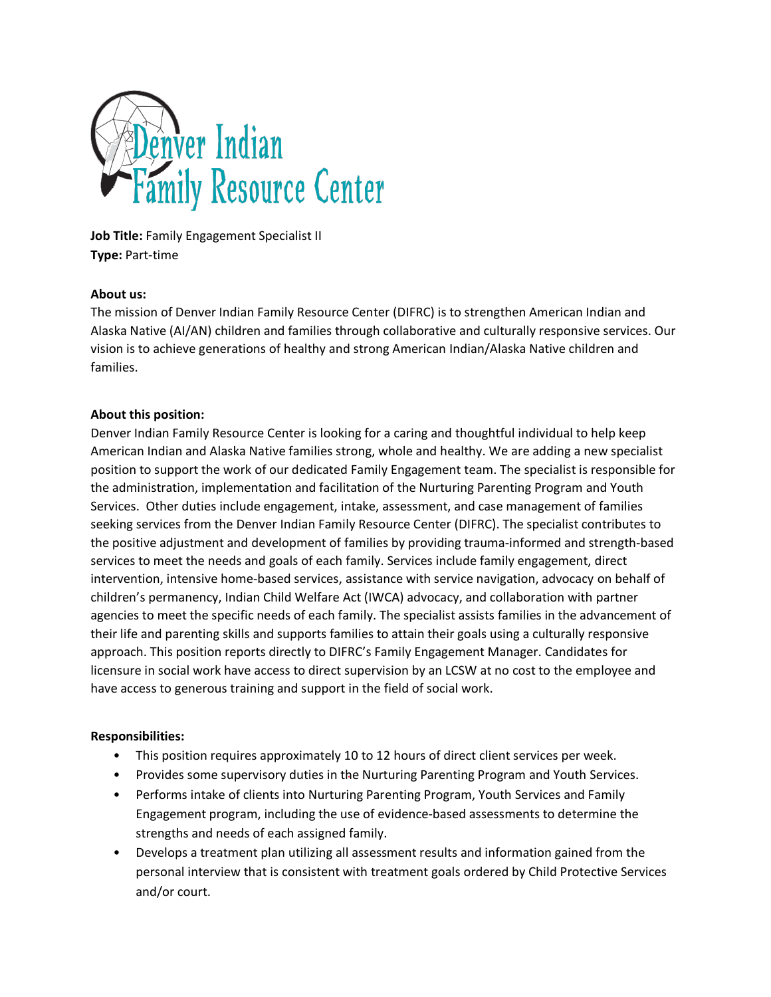

**Job Title: Family Engagement Specialist II Type:** Part-time

### **About us:**

The mission of Denver Indian Family Resource Center (DIFRC) is to strengthen American Indian and Alaska Native (AI/AN) children and families through collaborative and culturally responsive services. Our vision is to achieve generations of healthy and strong American Indian/Alaska Native children and families.

### **About this position:**

Denver Indian Family Resource Center is looking for a caring and thoughtful individual to help keep American Indian and Alaska Native families strong, whole and healthy. We are adding a new specialist position to support the work of our dedicated Family Engagement team. The specialist is responsible for the administration, implementation and facilitation of the Nurturing Parenting Program and Youth Services. Other duties include engagement, intake, assessment, and case management of families seeking services from the Denver Indian Family Resource Center (DIFRC). The specialist contributes to the positive adjustment and development of families by providing trauma-informed and strength-based services to meet the needs and goals of each family. Services include family engagement, direct intervention, intensive home-based services, assistance with service navigation, advocacy on behalf of children's permanency, Indian Child Welfare Act (IWCA) advocacy, and collaboration with partner agencies to meet the specific needs of each family. The specialist assists families in the advancement of their life and parenting skills and supports families to attain their goals using a culturally responsive approach. This position reports directly to DIFRC's Family Engagement Manager. Candidates for licensure in social work have access to direct supervision by an LCSW at no cost to the employee and have access to generous training and support in the field of social work.

#### **Responsibilities:**

- This position requires approximately 10 to 12 hours of direct client services per week.
- Provides some supervisory duties in the Nurturing Parenting Program and Youth Services.
- Performs intake of clients into Nurturing Parenting Program, Youth Services and Family Engagement program, including the use of evidence-based assessments to determine the strengths and needs of each assigned family.
- Develops a treatment plan utilizing all assessment results and information gained from the personal interview that is consistent with treatment goals ordered by Child Protective Services and/or court.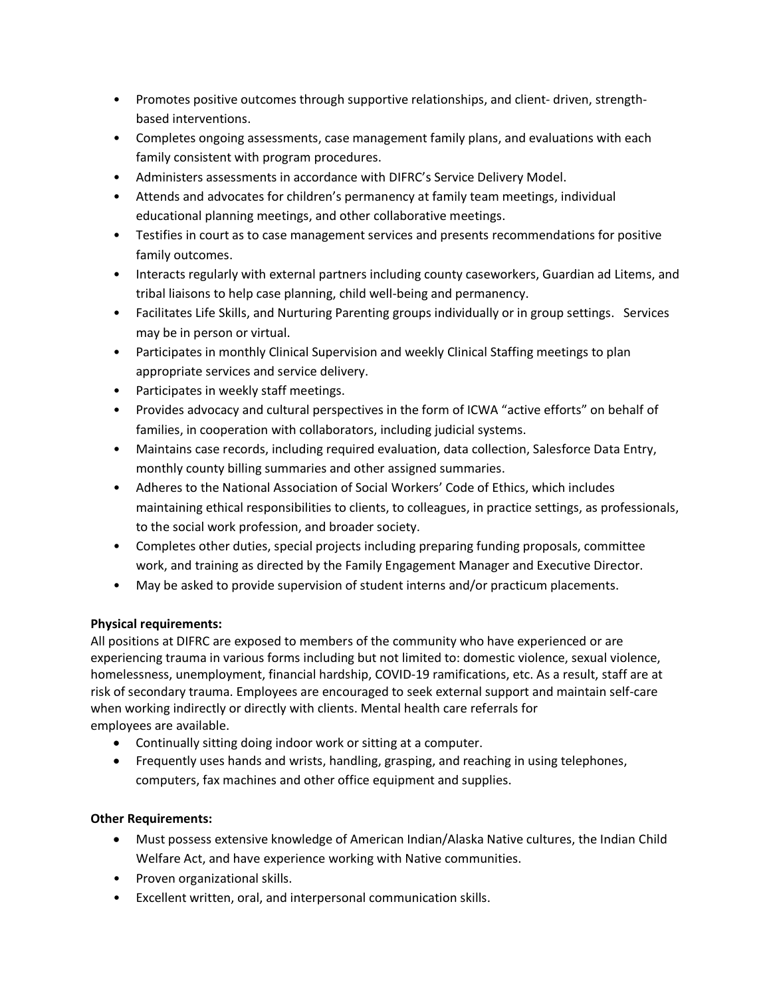- Promotes positive outcomes through supportive relationships, and client- driven, strengthbased interventions.
- Completes ongoing assessments, case management family plans, and evaluations with each family consistent with program procedures.
- Administers assessments in accordance with DIFRC's Service Delivery Model.
- Attends and advocates for children's permanency at family team meetings, individual educational planning meetings, and other collaborative meetings.
- Testifies in court as to case management services and presents recommendations for positive family outcomes.
- Interacts regularly with external partners including county caseworkers, Guardian ad Litems, and tribal liaisons to help case planning, child well-being and permanency.
- Facilitates Life Skills, and Nurturing Parenting groups individually or in group settings. Services may be in person or virtual.
- Participates in monthly Clinical Supervision and weekly Clinical Staffing meetings to plan appropriate services and service delivery.
- Participates in weekly staff meetings.
- Provides advocacy and cultural perspectives in the form of ICWA "active efforts" on behalf of families, in cooperation with collaborators, including judicial systems.
- Maintains case records, including required evaluation, data collection, Salesforce Data Entry, monthly county billing summaries and other assigned summaries.
- Adheres to the National Association of Social Workers' Code of Ethics, which includes maintaining ethical responsibilities to clients, to colleagues, in practice settings, as professionals, to the social work profession, and broader society.
- Completes other duties, special projects including preparing funding proposals, committee work, and training as directed by the Family Engagement Manager and Executive Director.
- May be asked to provide supervision of student interns and/or practicum placements.

## **Physical requirements:**

All positions at DIFRC are exposed to members of the community who have experienced or are experiencing trauma in various forms including but not limited to: domestic violence, sexual violence, homelessness, unemployment, financial hardship, COVID-19 ramifications, etc. As a result, staff are at risk of secondary trauma. Employees are encouraged to seek external support and maintain self-care when working indirectly or directly with clients. Mental health care referrals for employees are available.

- Continually sitting doing indoor work or sitting at a computer.
- Frequently uses hands and wrists, handling, grasping, and reaching in using telephones, computers, fax machines and other office equipment and supplies.

## **Other Requirements:**

- Must possess extensive knowledge of American Indian/Alaska Native cultures, the Indian Child Welfare Act, and have experience working with Native communities.
- Proven organizational skills.
- Excellent written, oral, and interpersonal communication skills.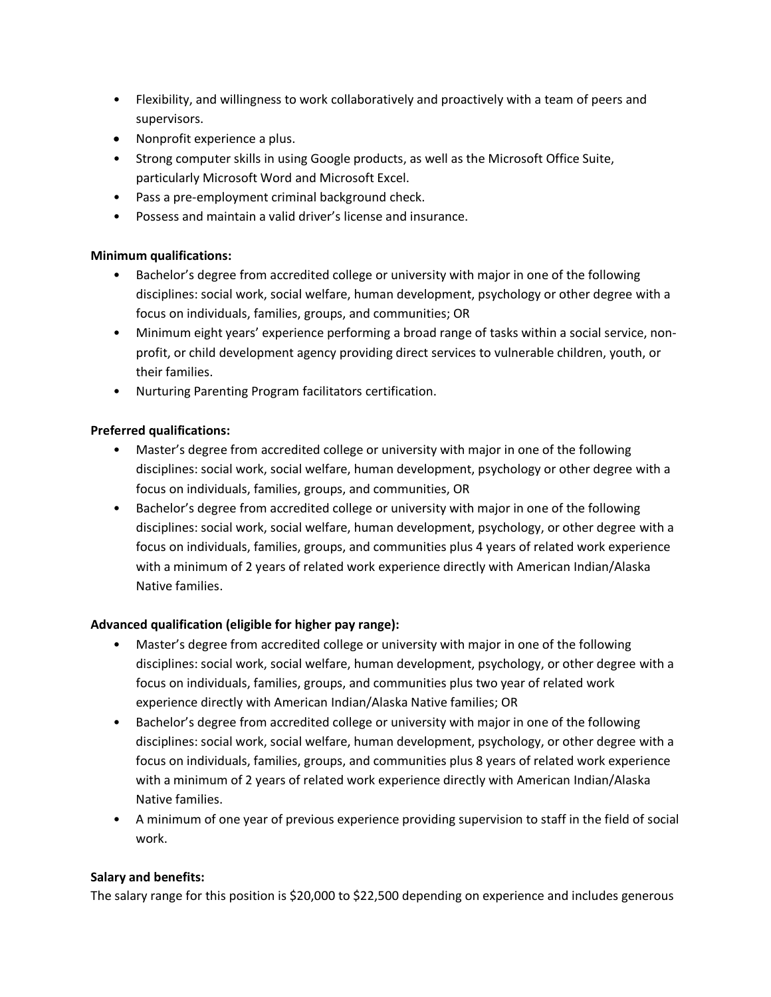- Flexibility, and willingness to work collaboratively and proactively with a team of peers and supervisors.
- Nonprofit experience a plus.
- Strong computer skills in using Google products, as well as the Microsoft Office Suite, particularly Microsoft Word and Microsoft Excel.
- Pass a pre-employment criminal background check.
- Possess and maintain a valid driver's license and insurance.

## **Minimum qualifications:**

- Bachelor's degree from accredited college or university with major in one of the following disciplines: social work, social welfare, human development, psychology or other degree with a focus on individuals, families, groups, and communities; OR
- Minimum eight years' experience performing a broad range of tasks within a social service, nonprofit, or child development agency providing direct services to vulnerable children, youth, or their families.
- Nurturing Parenting Program facilitators certification.

# **Preferred qualifications:**

- Master's degree from accredited college or university with major in one of the following disciplines: social work, social welfare, human development, psychology or other degree with a focus on individuals, families, groups, and communities, OR
- Bachelor's degree from accredited college or university with major in one of the following disciplines: social work, social welfare, human development, psychology, or other degree with a focus on individuals, families, groups, and communities plus 4 years of related work experience with a minimum of 2 years of related work experience directly with American Indian/Alaska Native families.

# **Advanced qualification (eligible for higher pay range):**

- Master's degree from accredited college or university with major in one of the following disciplines: social work, social welfare, human development, psychology, or other degree with a focus on individuals, families, groups, and communities plus two year of related work experience directly with American Indian/Alaska Native families; OR
- Bachelor's degree from accredited college or university with major in one of the following disciplines: social work, social welfare, human development, psychology, or other degree with a focus on individuals, families, groups, and communities plus 8 years of related work experience with a minimum of 2 years of related work experience directly with American Indian/Alaska Native families.
- A minimum of one year of previous experience providing supervision to staff in the field of social work.

## **Salary and benefits:**

The salary range for this position is \$20,000 to \$22,500 depending on experience and includes generous